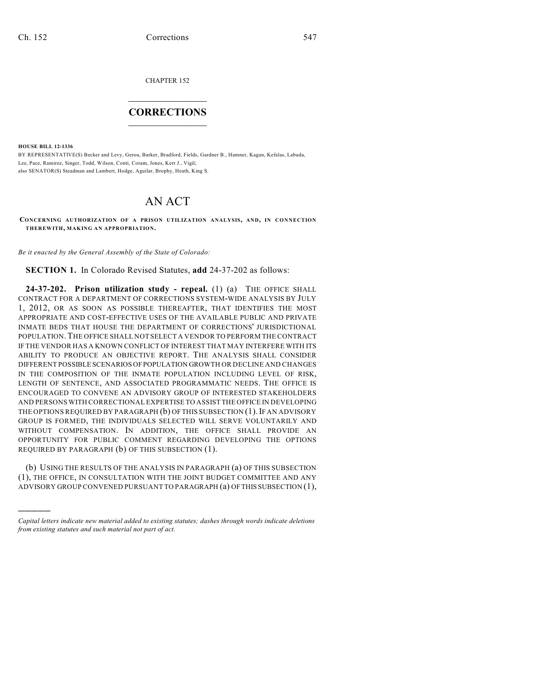CHAPTER 152

## $\mathcal{L}_\text{max}$  . The set of the set of the set of the set of the set of the set of the set of the set of the set of the set of the set of the set of the set of the set of the set of the set of the set of the set of the set **CORRECTIONS**  $\frac{1}{2}$  ,  $\frac{1}{2}$  ,  $\frac{1}{2}$  ,  $\frac{1}{2}$  ,  $\frac{1}{2}$  ,  $\frac{1}{2}$

**HOUSE BILL 12-1336**

)))))

BY REPRESENTATIVE(S) Becker and Levy, Gerou, Barker, Bradford, Fields, Gardner B., Hamner, Kagan, Kefalas, Labuda, Lee, Pace, Ramirez, Singer, Todd, Wilson, Conti, Coram, Jones, Kerr J., Vigil; also SENATOR(S) Steadman and Lambert, Hodge, Aguilar, Brophy, Heath, King S.

## AN ACT

**CONCERNING AUTHORIZATION OF A PRISON UTILIZATION ANALYSIS, AND, IN CONNECTION THEREWITH, MAKING AN APPROPRIATION.**

*Be it enacted by the General Assembly of the State of Colorado:*

**SECTION 1.** In Colorado Revised Statutes, **add** 24-37-202 as follows:

**24-37-202. Prison utilization study - repeal.** (1) (a) THE OFFICE SHALL CONTRACT FOR A DEPARTMENT OF CORRECTIONS SYSTEM-WIDE ANALYSIS BY JULY 1, 2012, OR AS SOON AS POSSIBLE THEREAFTER, THAT IDENTIFIES THE MOST APPROPRIATE AND COST-EFFECTIVE USES OF THE AVAILABLE PUBLIC AND PRIVATE INMATE BEDS THAT HOUSE THE DEPARTMENT OF CORRECTIONS' JURISDICTIONAL POPULATION.THE OFFICE SHALL NOT SELECT A VENDOR TO PERFORM THE CONTRACT IF THE VENDOR HAS A KNOWN CONFLICT OF INTEREST THAT MAY INTERFERE WITH ITS ABILITY TO PRODUCE AN OBJECTIVE REPORT. THE ANALYSIS SHALL CONSIDER DIFFERENT POSSIBLE SCENARIOS OFPOPULATION GROWTH OR DECLINE AND CHANGES IN THE COMPOSITION OF THE INMATE POPULATION INCLUDING LEVEL OF RISK, LENGTH OF SENTENCE, AND ASSOCIATED PROGRAMMATIC NEEDS. THE OFFICE IS ENCOURAGED TO CONVENE AN ADVISORY GROUP OF INTERESTED STAKEHOLDERS AND PERSONS WITH CORRECTIONAL EXPERTISE TO ASSIST THE OFFICE IN DEVELOPING THE OPTIONS REQUIRED BY PARAGRAPH (b) OF THIS SUBSECTION (1). IF AN ADVISORY GROUP IS FORMED, THE INDIVIDUALS SELECTED WILL SERVE VOLUNTARILY AND WITHOUT COMPENSATION. IN ADDITION, THE OFFICE SHALL PROVIDE AN OPPORTUNITY FOR PUBLIC COMMENT REGARDING DEVELOPING THE OPTIONS REQUIRED BY PARAGRAPH (b) OF THIS SUBSECTION (1).

(b) USING THE RESULTS OF THE ANALYSIS IN PARAGRAPH (a) OF THIS SUBSECTION (1), THE OFFICE, IN CONSULTATION WITH THE JOINT BUDGET COMMITTEE AND ANY ADVISORY GROUP CONVENED PURSUANT TO PARAGRAPH (a) OFTHIS SUBSECTION (1),

*Capital letters indicate new material added to existing statutes; dashes through words indicate deletions from existing statutes and such material not part of act.*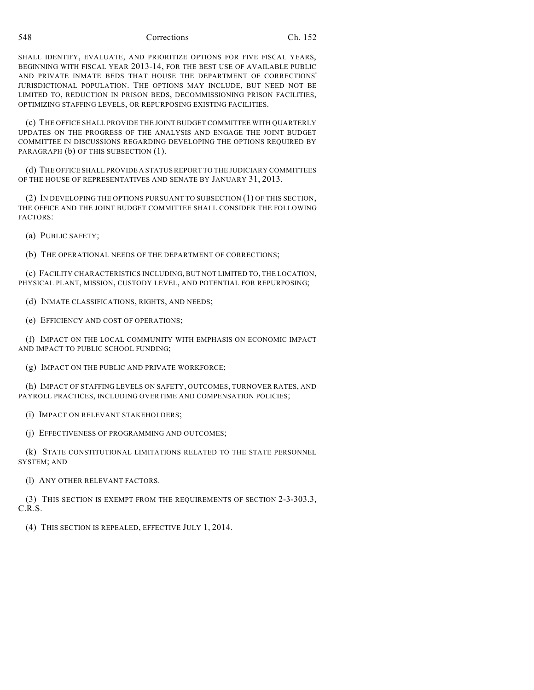548 Corrections Ch. 152

SHALL IDENTIFY, EVALUATE, AND PRIORITIZE OPTIONS FOR FIVE FISCAL YEARS, BEGINNING WITH FISCAL YEAR 2013-14, FOR THE BEST USE OF AVAILABLE PUBLIC AND PRIVATE INMATE BEDS THAT HOUSE THE DEPARTMENT OF CORRECTIONS' JURISDICTIONAL POPULATION. THE OPTIONS MAY INCLUDE, BUT NEED NOT BE LIMITED TO, REDUCTION IN PRISON BEDS, DECOMMISSIONING PRISON FACILITIES, OPTIMIZING STAFFING LEVELS, OR REPURPOSING EXISTING FACILITIES.

(c) THE OFFICE SHALL PROVIDE THE JOINT BUDGET COMMITTEE WITH QUARTERLY UPDATES ON THE PROGRESS OF THE ANALYSIS AND ENGAGE THE JOINT BUDGET COMMITTEE IN DISCUSSIONS REGARDING DEVELOPING THE OPTIONS REQUIRED BY PARAGRAPH (b) OF THIS SUBSECTION (1).

(d) THE OFFICE SHALL PROVIDE A STATUS REPORT TO THE JUDICIARY COMMITTEES OF THE HOUSE OF REPRESENTATIVES AND SENATE BY JANUARY 31, 2013.

(2) IN DEVELOPING THE OPTIONS PURSUANT TO SUBSECTION (1) OF THIS SECTION, THE OFFICE AND THE JOINT BUDGET COMMITTEE SHALL CONSIDER THE FOLLOWING FACTORS:

(a) PUBLIC SAFETY;

(b) THE OPERATIONAL NEEDS OF THE DEPARTMENT OF CORRECTIONS;

(c) FACILITY CHARACTERISTICS INCLUDING, BUT NOT LIMITED TO, THE LOCATION, PHYSICAL PLANT, MISSION, CUSTODY LEVEL, AND POTENTIAL FOR REPURPOSING;

(d) INMATE CLASSIFICATIONS, RIGHTS, AND NEEDS;

(e) EFFICIENCY AND COST OF OPERATIONS;

(f) IMPACT ON THE LOCAL COMMUNITY WITH EMPHASIS ON ECONOMIC IMPACT AND IMPACT TO PUBLIC SCHOOL FUNDING;

(g) IMPACT ON THE PUBLIC AND PRIVATE WORKFORCE;

(h) IMPACT OF STAFFING LEVELS ON SAFETY, OUTCOMES, TURNOVER RATES, AND PAYROLL PRACTICES, INCLUDING OVERTIME AND COMPENSATION POLICIES;

(i) IMPACT ON RELEVANT STAKEHOLDERS;

(j) EFFECTIVENESS OF PROGRAMMING AND OUTCOMES;

(k) STATE CONSTITUTIONAL LIMITATIONS RELATED TO THE STATE PERSONNEL SYSTEM; AND

(l) ANY OTHER RELEVANT FACTORS.

(3) THIS SECTION IS EXEMPT FROM THE REQUIREMENTS OF SECTION 2-3-303.3, C.R.S.

(4) THIS SECTION IS REPEALED, EFFECTIVE JULY 1, 2014.